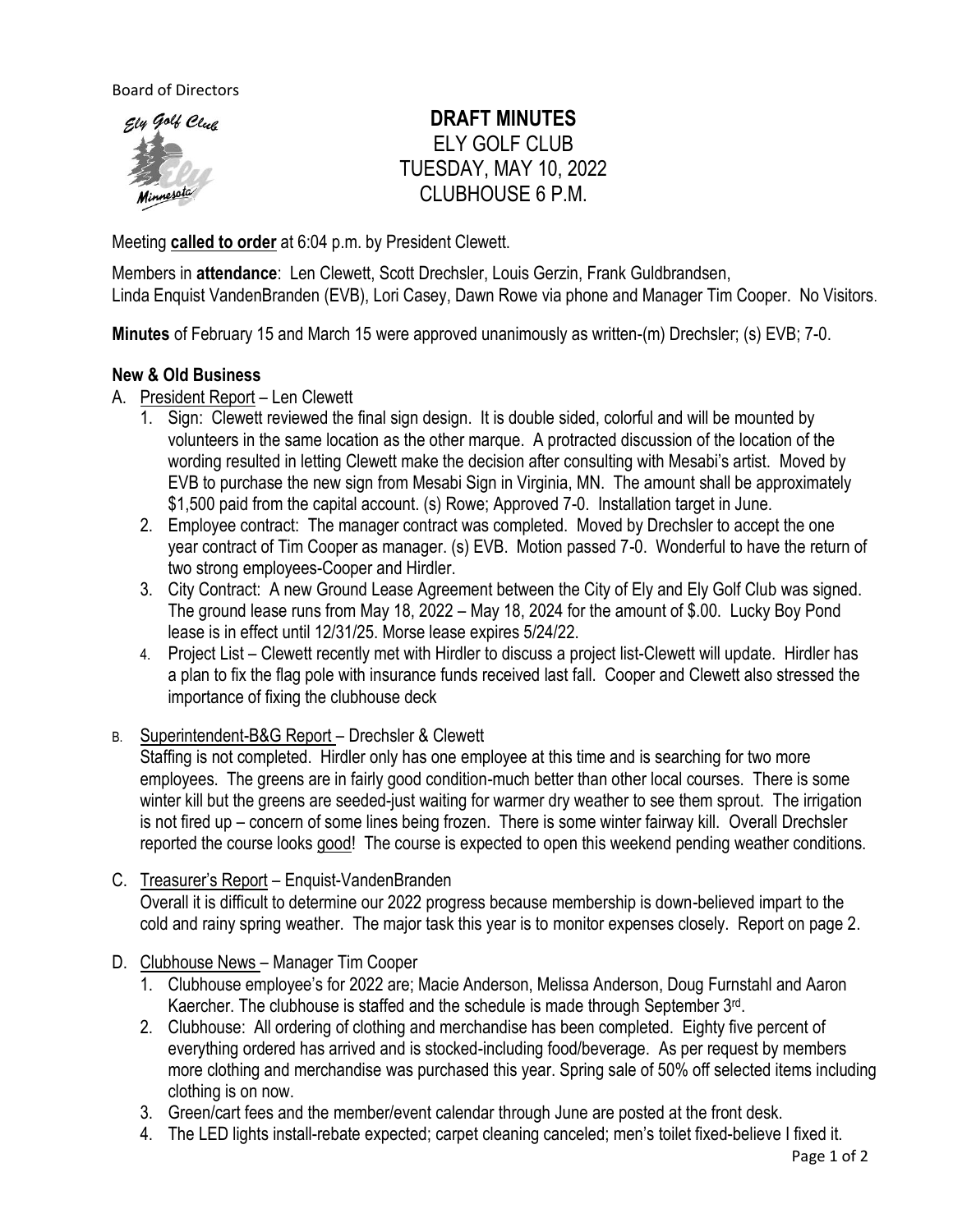Board of Directors



# **DRAFT MINUTES** ELY GOLF CLUB TUESDAY, MAY 10, 2022 CLUBHOUSE 6 P.M.

Meeting **called to order** at 6:04 p.m. by President Clewett.

Members in **attendance**: Len Clewett, Scott Drechsler, Louis Gerzin, Frank Guldbrandsen, Linda Enquist VandenBranden (EVB), Lori Casey, Dawn Rowe via phone and Manager Tim Cooper. No Visitors.

**Minutes** of February 15 and March 15 were approved unanimously as written-(m) Drechsler; (s) EVB; 7-0.

# **New & Old Business**

- A. President Report Len Clewett
	- 1. Sign: Clewett reviewed the final sign design. It is double sided, colorful and will be mounted by volunteers in the same location as the other marque. A protracted discussion of the location of the wording resulted in letting Clewett make the decision after consulting with Mesabi's artist. Moved by EVB to purchase the new sign from Mesabi Sign in Virginia, MN. The amount shall be approximately \$1,500 paid from the capital account. (s) Rowe; Approved 7-0. Installation target in June.
	- 2. Employee contract: The manager contract was completed. Moved by Drechsler to accept the one year contract of Tim Cooper as manager. (s) EVB. Motion passed 7-0. Wonderful to have the return of two strong employees-Cooper and Hirdler.
	- 3. City Contract: A new Ground Lease Agreement between the City of Ely and Ely Golf Club was signed. The ground lease runs from May 18, 2022 – May 18, 2024 for the amount of \$.00. Lucky Boy Pond lease is in effect until 12/31/25. Morse lease expires 5/24/22.
	- 4. Project List Clewett recently met with Hirdler to discuss a project list-Clewett will update. Hirdler has a plan to fix the flag pole with insurance funds received last fall. Cooper and Clewett also stressed the importance of fixing the clubhouse deck
- B. Superintendent-B&G Report Drechsler & Clewett

Staffing is not completed. Hirdler only has one employee at this time and is searching for two more employees. The greens are in fairly good condition-much better than other local courses. There is some winter kill but the greens are seeded-just waiting for warmer dry weather to see them sprout. The irrigation is not fired up – concern of some lines being frozen. There is some winter fairway kill. Overall Drechsler reported the course looks good! The course is expected to open this weekend pending weather conditions.

- C. Treasurer's Report Enquist-VandenBranden Overall it is difficult to determine our 2022 progress because membership is down-believed impart to the cold and rainy spring weather. The major task this year is to monitor expenses closely. Report on page 2.
- D. Clubhouse News Manager Tim Cooper
	- 1. Clubhouse employee's for 2022 are; Macie Anderson, Melissa Anderson, Doug Furnstahl and Aaron Kaercher. The clubhouse is staffed and the schedule is made through September 3<sup>rd</sup>.
	- 2. Clubhouse: All ordering of clothing and merchandise has been completed. Eighty five percent of everything ordered has arrived and is stocked-including food/beverage. As per request by members more clothing and merchandise was purchased this year. Spring sale of 50% off selected items including clothing is on now.
	- 3. Green/cart fees and the member/event calendar through June are posted at the front desk.
	- 4. The LED lights install-rebate expected; carpet cleaning canceled; men's toilet fixed-believe I fixed it.